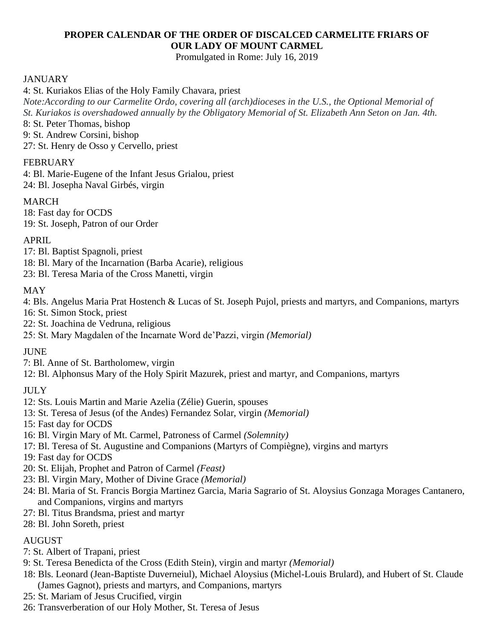# **PROPER CALENDAR OF THE ORDER OF DISCALCED CARMELITE FRIARS OF OUR LADY OF MOUNT CARMEL**

Promulgated in Rome: July 16, 2019

### JANUARY

4: St. Kuriakos Elias of the Holy Family Chavara, priest

*Note:According to our Carmelite Ordo, covering all (arch)dioceses in the U.S., the Optional Memorial of St. Kuriakos is overshadowed annually by the Obligatory Memorial of St. Elizabeth Ann Seton on Jan. 4th.*

8: St. Peter Thomas, bishop

9: St. Andrew Corsini, bishop

27: St. Henry de Osso y Cervello, priest

### FEBRUARY

4: Bl. Marie-Eugene of the Infant Jesus Grialou, priest 24: Bl. Josepha Naval Girbés, virgin

#### MARCH

18: Fast day for OCDS 19: St. Joseph, Patron of our Order

#### APRIL

- 17: Bl. Baptist Spagnoli, priest
- 18: Bl. Mary of the Incarnation (Barba Acarie), religious
- 23: Bl. Teresa Maria of the Cross Manetti, virgin

### MAY

4: Bls. Angelus Maria Prat Hostench & Lucas of St. Joseph Pujol, priests and martyrs, and Companions, martyrs

- 16: St. Simon Stock, priest
- 22: St. Joachina de Vedruna, religious
- 25: St. Mary Magdalen of the Incarnate Word de'Pazzi, virgin *(Memorial)*

### **JUNE**

7: Bl. Anne of St. Bartholomew, virgin

12: Bl. Alphonsus Mary of the Holy Spirit Mazurek, priest and martyr, and Companions, martyrs

### **JULY**

- 12: Sts. Louis Martin and Marie Azelia (Zélie) Guerin, spouses
- 13: St. Teresa of Jesus (of the Andes) Fernandez Solar, virgin *(Memorial)*
- 15: Fast day for OCDS
- 16: Bl. Virgin Mary of Mt. Carmel, Patroness of Carmel *(Solemnity)*
- 17: Bl. Teresa of St. Augustine and Companions (Martyrs of Compiègne), virgins and martyrs
- 19: Fast day for OCDS
- 20: St. Elijah, Prophet and Patron of Carmel *(Feast)*
- 23: Bl. Virgin Mary, Mother of Divine Grace *(Memorial)*
- 24: Bl. Maria of St. Francis Borgia Martinez Garcia, Maria Sagrario of St. Aloysius Gonzaga Morages Cantanero, and Companions, virgins and martyrs
- 27: Bl. Titus Brandsma, priest and martyr
- 28: Bl. John Soreth, priest

### AUGUST

- 7: St. Albert of Trapani, priest
- 9: St. Teresa Benedicta of the Cross (Edith Stein), virgin and martyr *(Memorial)*
- 18: Bls. Leonard (Jean-Baptiste Duverneiul), Michael Aloysius (Michel-Louis Brulard), and Hubert of St. Claude (James Gagnot), priests and martyrs, and Companions, martyrs
- 25: St. Mariam of Jesus Crucified, virgin
- 26: Transverberation of our Holy Mother, St. Teresa of Jesus